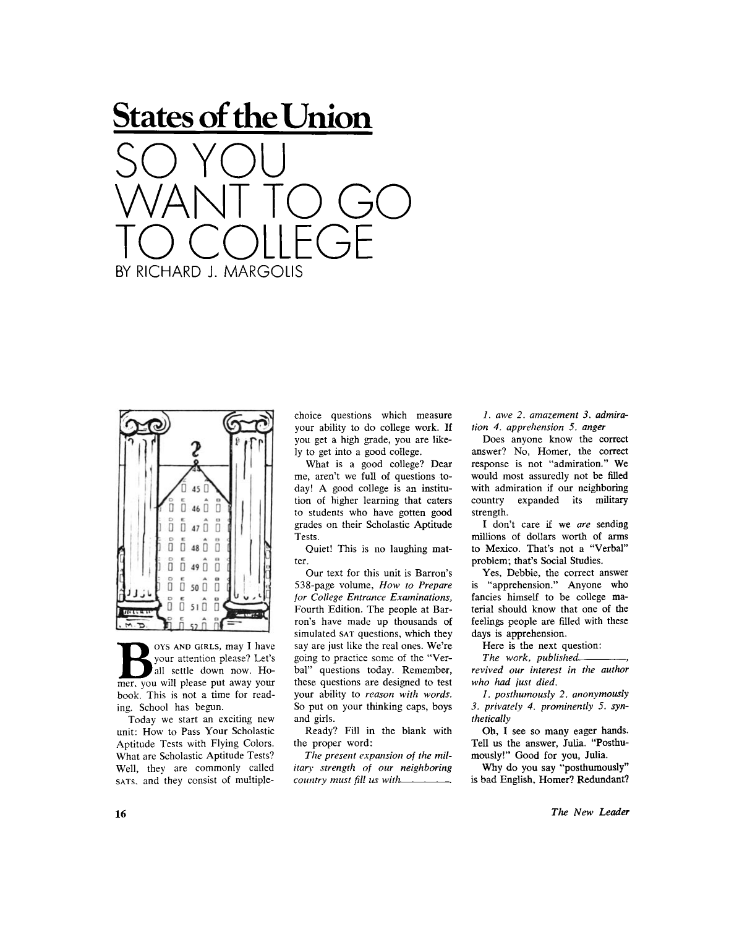



**B**solve the solve of the solve the solve the solve the solve the solve the solve the solve the solve the solve the solve the solve the solve the solve the solve the solve the solve the solve the solve the solve the solve **OYS AND GIRLS**, may I have your attention please? Let's all settle down now. Hobook. This is not a time for reading. School has begun.

Today we start an exciting new unit: How to Pass Your Scholastic Aptitude Tests with Flying Colors. What are Scholastic Aptitude Tests? Well, they are commonly called **SATS**. and they consist of multiple-

choice questions which measure your ability to do college work. If you get a high grade, you are likely to get into a good college.

What is a good college? Dear me, aren't we full of questions today! A good college is an institution of higher learning that caters to students who have gotten good grades on their Scholastic Aptitude Tests.

Quiet! This is no laughing matter.

Our text for this unit is Barron's 538-page volume, *How to Prepare for College Entrance Examinations,*  Fourth Edition. The people at Barron's have made up thousands of simulated **SAT** questions, which they say are just like the real ones. We're going to practice some of the "Verbal" questions today. Remember, these questions are designed to test your ability to *reason with words.*  So put on your thinking caps, boys and girls.

Ready? Fill in the blank with the proper word:

*The present expansion of the military strength of our neighboring country must fill us with .* 

*1. awe 2. amazement 3. admiration 4. apprehension 5. anger* 

Does anyone know the correct answer? No, Homer, the correct response is not "admiration." We would most assuredly not be filled with admiration if our neighboring country expanded its military strength.

I don't care if we *are* sending millions of dollars worth of arms to Mexico. That's not a "Verbal" problem; that's Social Studies.

Yes, Debbie, the correct answer is "apprehension." Anyone who fancies himself to be college material should know that one of the feelings people are filled with these days is apprehension.

Here is the next question:

The work, published... *revived our interest in the author who had just died.* 

*1. posthumously 2. anonymously 3. privately 4. prominently 5. synthetically* 

Oh, I see so many eager hands. Tell us the answer, Julia. "Posthumously!" Good for you, Julia.

Why do you say "posthumously" is bad English, Homer? Redundant?